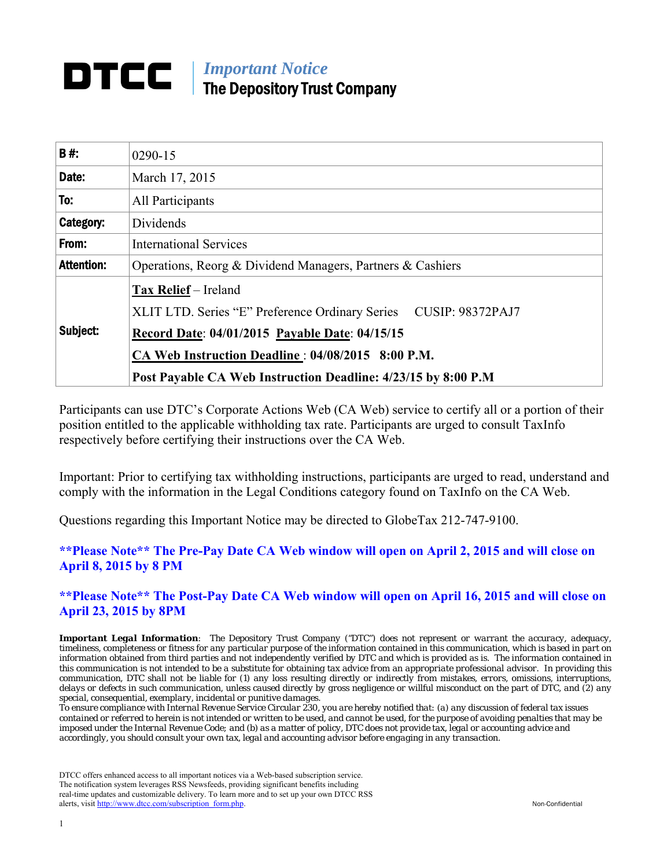# *Important Notice*  The Depository Trust Company

| <b>B#:</b>        | 0290-15                                                                                  |  |  |
|-------------------|------------------------------------------------------------------------------------------|--|--|
| Date:             | March 17, 2015                                                                           |  |  |
| To:               | All Participants                                                                         |  |  |
| Category:         | Dividends                                                                                |  |  |
| From:             | <b>International Services</b>                                                            |  |  |
| <b>Attention:</b> | Operations, Reorg & Dividend Managers, Partners & Cashiers                               |  |  |
| Subject:          | Tax Relief - Ireland<br>XLIT LTD. Series "E" Preference Ordinary Series CUSIP: 98372PAJ7 |  |  |
|                   | Record Date: 04/01/2015 Payable Date: 04/15/15                                           |  |  |
|                   | CA Web Instruction Deadline: 04/08/2015 8:00 P.M.                                        |  |  |
|                   | Post Payable CA Web Instruction Deadline: 4/23/15 by 8:00 P.M                            |  |  |

Participants can use DTC's Corporate Actions Web (CA Web) service to certify all or a portion of their position entitled to the applicable withholding tax rate. Participants are urged to consult TaxInfo respectively before certifying their instructions over the CA Web.

Important: Prior to certifying tax withholding instructions, participants are urged to read, understand and comply with the information in the Legal Conditions category found on TaxInfo on the CA Web.

Questions regarding this Important Notice may be directed to GlobeTax 212-747-9100.

# **\*\*Please Note\*\* The Pre-Pay Date CA Web window will open on April 2, 2015 and will close on April 8, 2015 by 8 PM**

**\*\*Please Note\*\* The Post-Pay Date CA Web window will open on April 16, 2015 and will close on April 23, 2015 by 8PM** 

*Important Legal Information: The Depository Trust Company ("DTC") does not represent or warrant the accuracy, adequacy, timeliness, completeness or fitness for any particular purpose of the information contained in this communication, which is based in part on information obtained from third parties and not independently verified by DTC and which is provided as is. The information contained in this communication is not intended to be a substitute for obtaining tax advice from an appropriate professional advisor. In providing this communication, DTC shall not be liable for (1) any loss resulting directly or indirectly from mistakes, errors, omissions, interruptions, delays or defects in such communication, unless caused directly by gross negligence or willful misconduct on the part of DTC, and (2) any special, consequential, exemplary, incidental or punitive damages.* 

*To ensure compliance with Internal Revenue Service Circular 230, you are hereby notified that: (a) any discussion of federal tax issues contained or referred to herein is not intended or written to be used, and cannot be used, for the purpose of avoiding penalties that may be imposed under the Internal Revenue Code; and (b) as a matter of policy, DTC does not provide tax, legal or accounting advice and accordingly, you should consult your own tax, legal and accounting advisor before engaging in any transaction.*

DTCC offers enhanced access to all important notices via a Web-based subscription service. The notification system leverages RSS Newsfeeds, providing significant benefits including real-time updates and customizable delivery. To learn more and to set up your own DTCC RSS alerts, visit http://www.dtcc.com/subscription\_form.php. Non-Confidential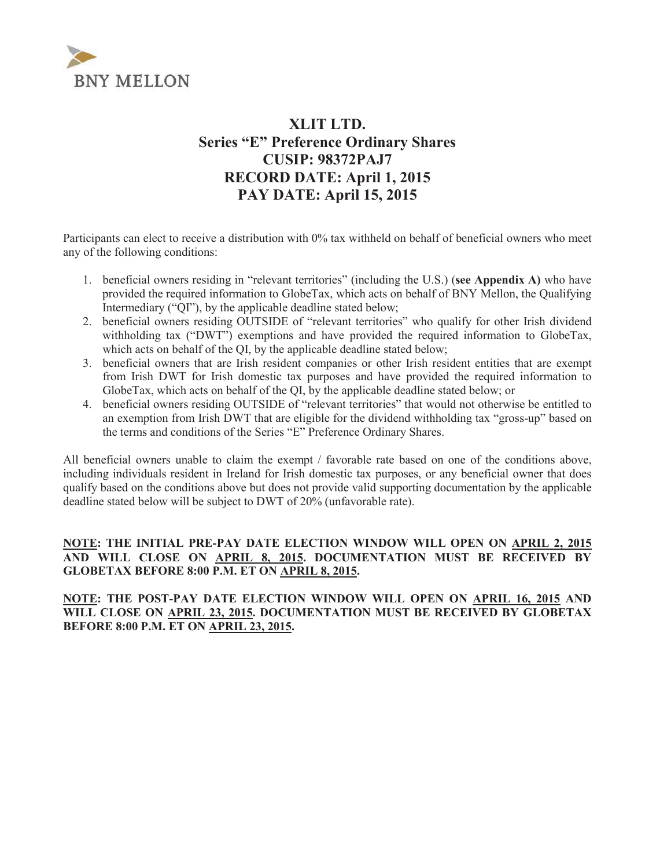

# **XLIT LTD. Series "E" Preference Ordinary Shares CUSIP: 98372PAJ7 RECORD DATE: April 1, 2015 PAY DATE: April 15, 2015**

Participants can elect to receive a distribution with 0% tax withheld on behalf of beneficial owners who meet any of the following conditions:

- 1. beneficial owners residing in "relevant territories" (including the U.S.) (**see Appendix A)** who have provided the required information to GlobeTax, which acts on behalf of BNY Mellon, the Qualifying Intermediary ("QI"), by the applicable deadline stated below;
- 2. beneficial owners residing OUTSIDE of "relevant territories" who qualify for other Irish dividend withholding tax ("DWT") exemptions and have provided the required information to GlobeTax, which acts on behalf of the QI, by the applicable deadline stated below;
- 3. beneficial owners that are Irish resident companies or other Irish resident entities that are exempt from Irish DWT for Irish domestic tax purposes and have provided the required information to GlobeTax, which acts on behalf of the QI, by the applicable deadline stated below; or
- 4. beneficial owners residing OUTSIDE of "relevant territories" that would not otherwise be entitled to an exemption from Irish DWT that are eligible for the dividend withholding tax "gross-up" based on the terms and conditions of the Series "E" Preference Ordinary Shares.

All beneficial owners unable to claim the exempt / favorable rate based on one of the conditions above, including individuals resident in Ireland for Irish domestic tax purposes, or any beneficial owner that does qualify based on the conditions above but does not provide valid supporting documentation by the applicable deadline stated below will be subject to DWT of 20% (unfavorable rate).

### **NOTE: THE INITIAL PRE-PAY DATE ELECTION WINDOW WILL OPEN ON APRIL 2, 2015 AND WILL CLOSE ON APRIL 8, 2015. DOCUMENTATION MUST BE RECEIVED BY GLOBETAX BEFORE 8:00 P.M. ET ON APRIL 8, 2015.**

**NOTE: THE POST-PAY DATE ELECTION WINDOW WILL OPEN ON APRIL 16, 2015 AND WILL CLOSE ON APRIL 23, 2015. DOCUMENTATION MUST BE RECEIVED BY GLOBETAX BEFORE 8:00 P.M. ET ON APRIL 23, 2015.**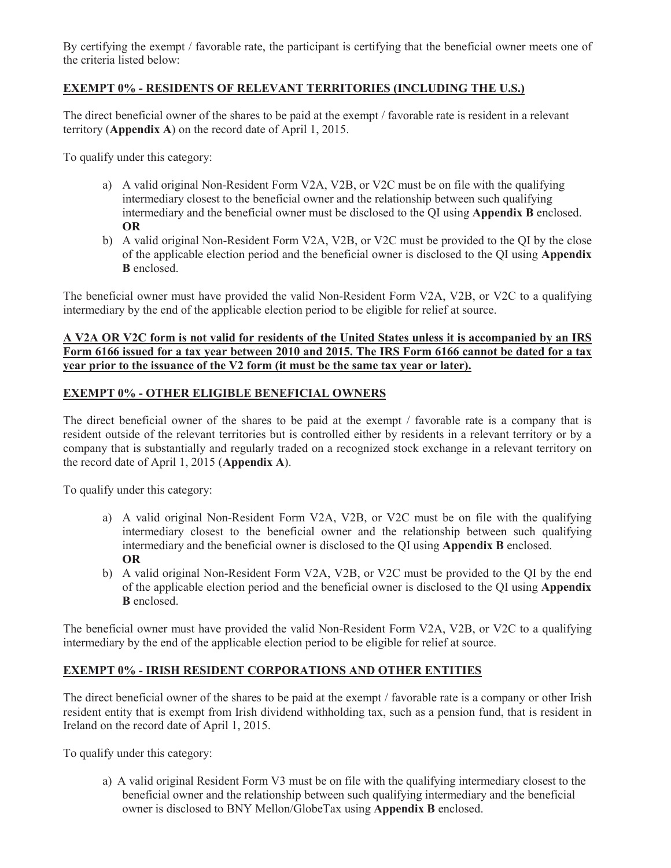By certifying the exempt / favorable rate, the participant is certifying that the beneficial owner meets one of the criteria listed below:

### **EXEMPT 0% - RESIDENTS OF RELEVANT TERRITORIES (INCLUDING THE U.S.)**

The direct beneficial owner of the shares to be paid at the exempt / favorable rate is resident in a relevant territory (**Appendix A**) on the record date of April 1, 2015.

To qualify under this category:

- a) A valid original Non-Resident Form V2A, V2B, or V2C must be on file with the qualifying intermediary closest to the beneficial owner and the relationship between such qualifying intermediary and the beneficial owner must be disclosed to the QI using **Appendix B** enclosed. **OR**
- b) A valid original Non-Resident Form V2A, V2B, or V2C must be provided to the QI by the close of the applicable election period and the beneficial owner is disclosed to the QI using **Appendix B** enclosed.

The beneficial owner must have provided the valid Non-Resident Form V2A, V2B, or V2C to a qualifying intermediary by the end of the applicable election period to be eligible for relief at source.

#### **A V2A OR V2C form is not valid for residents of the United States unless it is accompanied by an IRS Form 6166 issued for a tax year between 2010 and 2015. The IRS Form 6166 cannot be dated for a tax year prior to the issuance of the V2 form (it must be the same tax year or later).**

# **EXEMPT 0% - OTHER ELIGIBLE BENEFICIAL OWNERS**

The direct beneficial owner of the shares to be paid at the exempt / favorable rate is a company that is resident outside of the relevant territories but is controlled either by residents in a relevant territory or by a company that is substantially and regularly traded on a recognized stock exchange in a relevant territory on the record date of April 1, 2015 (**Appendix A**).

To qualify under this category:

- a) A valid original Non-Resident Form V2A, V2B, or V2C must be on file with the qualifying intermediary closest to the beneficial owner and the relationship between such qualifying intermediary and the beneficial owner is disclosed to the QI using **Appendix B** enclosed. **OR**
- b) A valid original Non-Resident Form V2A, V2B, or V2C must be provided to the QI by the end of the applicable election period and the beneficial owner is disclosed to the QI using **Appendix B** enclosed.

The beneficial owner must have provided the valid Non-Resident Form V2A, V2B, or V2C to a qualifying intermediary by the end of the applicable election period to be eligible for relief at source.

# **EXEMPT 0% - IRISH RESIDENT CORPORATIONS AND OTHER ENTITIES**

The direct beneficial owner of the shares to be paid at the exempt / favorable rate is a company or other Irish resident entity that is exempt from Irish dividend withholding tax, such as a pension fund, that is resident in Ireland on the record date of April 1, 2015.

To qualify under this category:

a) A valid original Resident Form V3 must be on file with the qualifying intermediary closest to the beneficial owner and the relationship between such qualifying intermediary and the beneficial owner is disclosed to BNY Mellon/GlobeTax using **Appendix B** enclosed.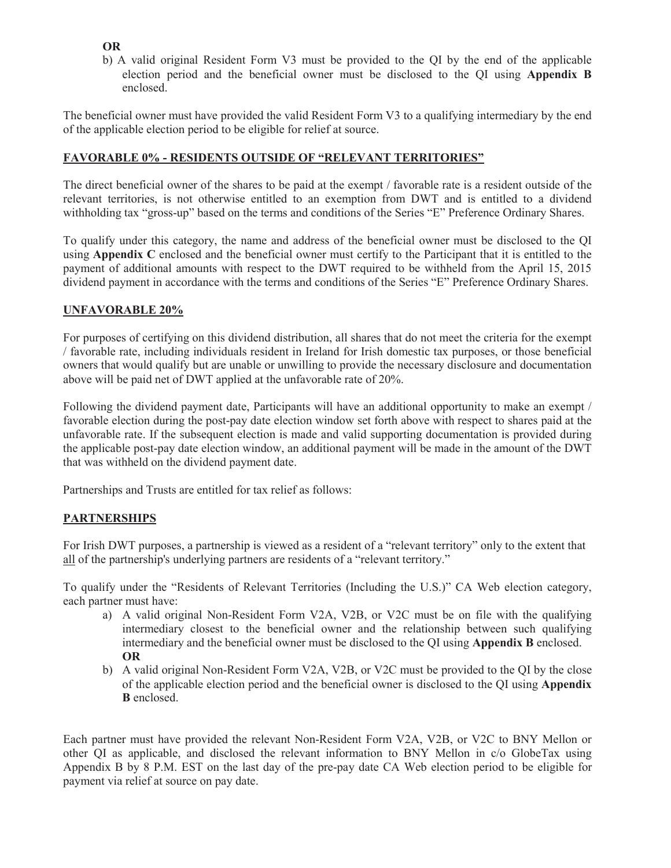#### **OR**

b) A valid original Resident Form V3 must be provided to the QI by the end of the applicable election period and the beneficial owner must be disclosed to the QI using **Appendix B** enclosed.

The beneficial owner must have provided the valid Resident Form V3 to a qualifying intermediary by the end of the applicable election period to be eligible for relief at source.

# **FAVORABLE 0% - RESIDENTS OUTSIDE OF "RELEVANT TERRITORIES"**

The direct beneficial owner of the shares to be paid at the exempt / favorable rate is a resident outside of the relevant territories, is not otherwise entitled to an exemption from DWT and is entitled to a dividend withholding tax "gross-up" based on the terms and conditions of the Series "E" Preference Ordinary Shares.

To qualify under this category, the name and address of the beneficial owner must be disclosed to the QI using **Appendix C** enclosed and the beneficial owner must certify to the Participant that it is entitled to the payment of additional amounts with respect to the DWT required to be withheld from the April 15, 2015 dividend payment in accordance with the terms and conditions of the Series "E" Preference Ordinary Shares.

#### **UNFAVORABLE 20%**

For purposes of certifying on this dividend distribution, all shares that do not meet the criteria for the exempt / favorable rate, including individuals resident in Ireland for Irish domestic tax purposes, or those beneficial owners that would qualify but are unable or unwilling to provide the necessary disclosure and documentation above will be paid net of DWT applied at the unfavorable rate of 20%.

Following the dividend payment date, Participants will have an additional opportunity to make an exempt / favorable election during the post-pay date election window set forth above with respect to shares paid at the unfavorable rate. If the subsequent election is made and valid supporting documentation is provided during the applicable post-pay date election window, an additional payment will be made in the amount of the DWT that was withheld on the dividend payment date.

Partnerships and Trusts are entitled for tax relief as follows:

# **PARTNERSHIPS**

For Irish DWT purposes, a partnership is viewed as a resident of a "relevant territory" only to the extent that all of the partnership's underlying partners are residents of a "relevant territory."

To qualify under the "Residents of Relevant Territories (Including the U.S.)" CA Web election category, each partner must have:

- a) A valid original Non-Resident Form V2A, V2B, or V2C must be on file with the qualifying intermediary closest to the beneficial owner and the relationship between such qualifying intermediary and the beneficial owner must be disclosed to the QI using **Appendix B** enclosed. **OR**
- b) A valid original Non-Resident Form V2A, V2B, or V2C must be provided to the QI by the close of the applicable election period and the beneficial owner is disclosed to the QI using **Appendix B** enclosed.

Each partner must have provided the relevant Non-Resident Form V2A, V2B, or V2C to BNY Mellon or other QI as applicable, and disclosed the relevant information to BNY Mellon in c/o GlobeTax using Appendix B by 8 P.M. EST on the last day of the pre-pay date CA Web election period to be eligible for payment via relief at source on pay date.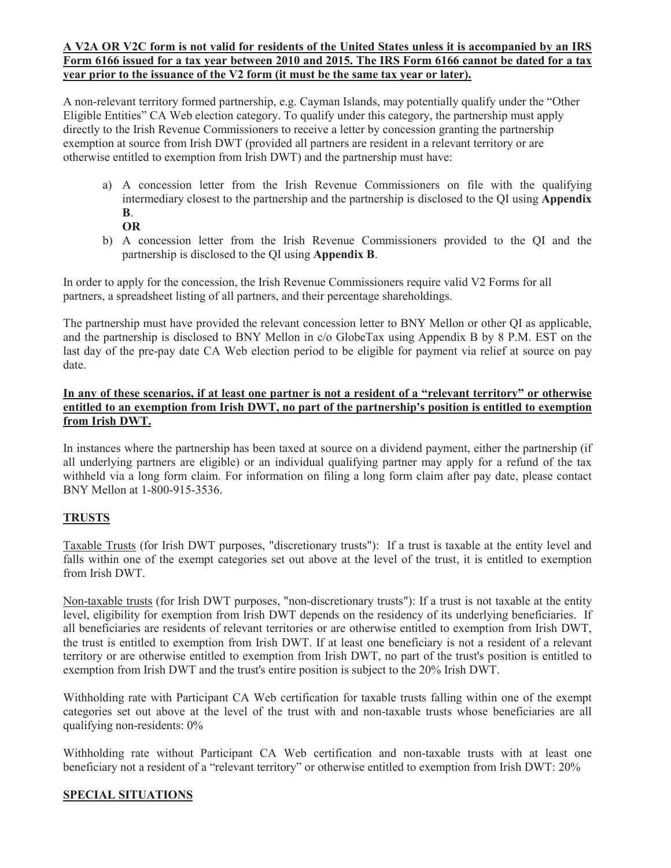#### **A V2A OR V2C form is not valid for residents of the United States unless it is accompanied by an IRS Form 6166 issued for a tax year between 2010 and 2015. The IRS Form 6166 cannot be dated for a tax year prior to the issuance of the V2 form (it must be the same tax year or later).**

A non-relevant territory formed partnership, e.g. Cayman Islands, may potentially qualify under the "Other Eligible Entities" CA Web election category. To qualify under this category, the partnership must apply directly to the Irish Revenue Commissioners to receive a letter by concession granting the partnership exemption at source from Irish DWT (provided all partners are resident in a relevant territory or are otherwise entitled to exemption from Irish DWT) and the partnership must have:

- a) A concession letter from the Irish Revenue Commissioners on file with the qualifying intermediary closest to the partnership and the partnership is disclosed to the QI using **Appendix B**.
	- **OR**
- b) A concession letter from the Irish Revenue Commissioners provided to the QI and the partnership is disclosed to the QI using **Appendix B**.

In order to apply for the concession, the Irish Revenue Commissioners require valid V2 Forms for all partners, a spreadsheet listing of all partners, and their percentage shareholdings.

The partnership must have provided the relevant concession letter to BNY Mellon or other QI as applicable, and the partnership is disclosed to BNY Mellon in c/o GlobeTax using Appendix B by 8 P.M. EST on the last day of the pre-pay date CA Web election period to be eligible for payment via relief at source on pay date.

# **In any of these scenarios, if at least one partner is not a resident of a "relevant territory" or otherwise entitled to an exemption from Irish DWT, no part of the partnership's position is entitled to exemption from Irish DWT.**

In instances where the partnership has been taxed at source on a dividend payment, either the partnership (if all underlying partners are eligible) or an individual qualifying partner may apply for a refund of the tax withheld via a long form claim. For information on filing a long form claim after pay date, please contact BNY Mellon at 1-800-915-3536.

# **TRUSTS**

Taxable Trusts (for Irish DWT purposes, "discretionary trusts"): If a trust is taxable at the entity level and falls within one of the exempt categories set out above at the level of the trust, it is entitled to exemption from Irish DWT.

Non-taxable trusts (for Irish DWT purposes, "non-discretionary trusts"): If a trust is not taxable at the entity level, eligibility for exemption from Irish DWT depends on the residency of its underlying beneficiaries. If all beneficiaries are residents of relevant territories or are otherwise entitled to exemption from Irish DWT, the trust is entitled to exemption from Irish DWT. If at least one beneficiary is not a resident of a relevant territory or are otherwise entitled to exemption from Irish DWT, no part of the trust's position is entitled to exemption from Irish DWT and the trust's entire position is subject to the 20% Irish DWT.

Withholding rate with Participant CA Web certification for taxable trusts falling within one of the exempt categories set out above at the level of the trust with and non-taxable trusts whose beneficiaries are all qualifying non-residents: 0%

Withholding rate without Participant CA Web certification and non-taxable trusts with at least one beneficiary not a resident of a "relevant territory" or otherwise entitled to exemption from Irish DWT: 20%

# **SPECIAL SITUATIONS**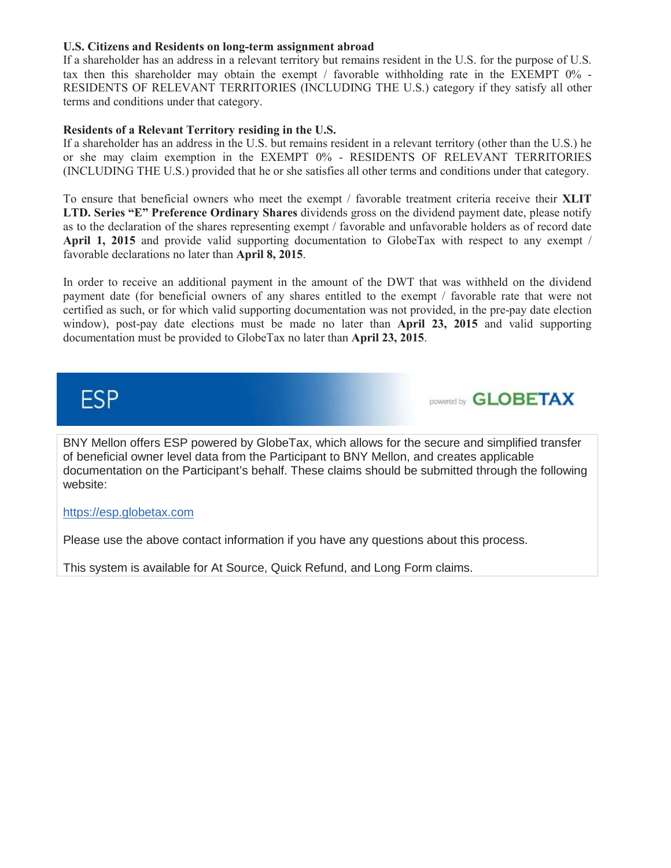#### **U.S. Citizens and Residents on long-term assignment abroad**

If a shareholder has an address in a relevant territory but remains resident in the U.S. for the purpose of U.S. tax then this shareholder may obtain the exempt / favorable withholding rate in the EXEMPT 0% - RESIDENTS OF RELEVANT TERRITORIES (INCLUDING THE U.S.) category if they satisfy all other terms and conditions under that category.

#### **Residents of a Relevant Territory residing in the U.S.**

If a shareholder has an address in the U.S. but remains resident in a relevant territory (other than the U.S.) he or she may claim exemption in the EXEMPT 0% - RESIDENTS OF RELEVANT TERRITORIES (INCLUDING THE U.S.) provided that he or she satisfies all other terms and conditions under that category.

To ensure that beneficial owners who meet the exempt / favorable treatment criteria receive their **XLIT LTD. Series "E" Preference Ordinary Shares** dividends gross on the dividend payment date, please notify as to the declaration of the shares representing exempt / favorable and unfavorable holders as of record date **April 1, 2015** and provide valid supporting documentation to GlobeTax with respect to any exempt / favorable declarations no later than **April 8, 2015**.

In order to receive an additional payment in the amount of the DWT that was withheld on the dividend payment date (for beneficial owners of any shares entitled to the exempt / favorable rate that were not certified as such, or for which valid supporting documentation was not provided, in the pre-pay date election window), post-pay date elections must be made no later than **April 23, 2015** and valid supporting documentation must be provided to GlobeTax no later than **April 23, 2015**.



DOWERED **GLOBETAX** 

BNY Mellon offers ESP powered by GlobeTax, which allows for the secure and simplified transfer of beneficial owner level data from the Participant to BNY Mellon, and creates applicable documentation on the Participant's behalf. These claims should be submitted through the following website:

#### https://esp.globetax.com

Please use the above contact information if you have any questions about this process.

This system is available for At Source, Quick Refund, and Long Form claims.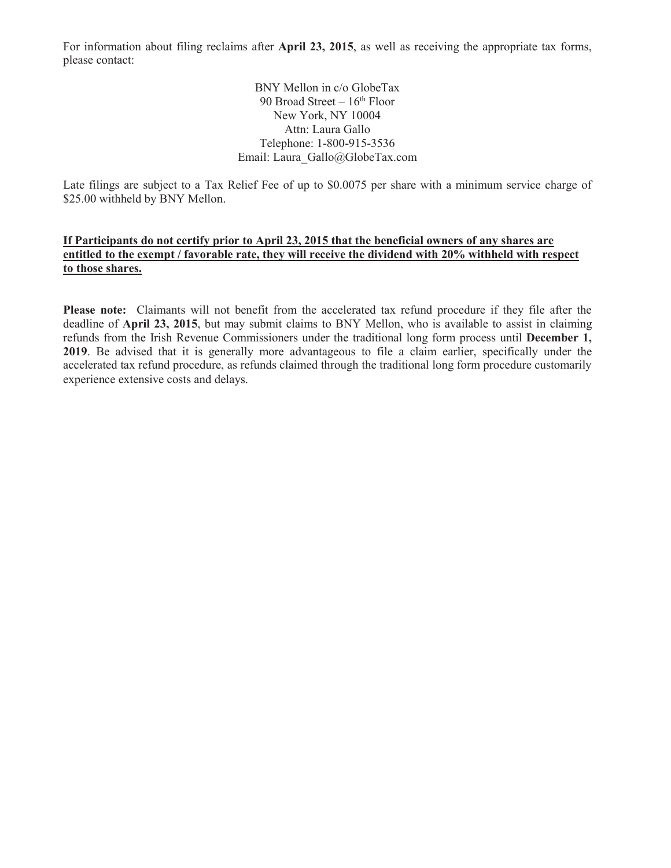For information about filing reclaims after **April 23, 2015**, as well as receiving the appropriate tax forms, please contact:

> BNY Mellon in c/o GlobeTax 90 Broad Street  $-16^{th}$  Floor New York, NY 10004 Attn: Laura Gallo Telephone: 1-800-915-3536 Email: Laura\_Gallo@GlobeTax.com

Late filings are subject to a Tax Relief Fee of up to \$0.0075 per share with a minimum service charge of \$25.00 withheld by BNY Mellon.

#### **If Participants do not certify prior to April 23, 2015 that the beneficial owners of any shares are entitled to the exempt / favorable rate, they will receive the dividend with 20% withheld with respect to those shares.**

**Please note:** Claimants will not benefit from the accelerated tax refund procedure if they file after the deadline of **April 23, 2015**, but may submit claims to BNY Mellon, who is available to assist in claiming refunds from the Irish Revenue Commissioners under the traditional long form process until **December 1, 2019**. Be advised that it is generally more advantageous to file a claim earlier, specifically under the accelerated tax refund procedure, as refunds claimed through the traditional long form procedure customarily experience extensive costs and delays.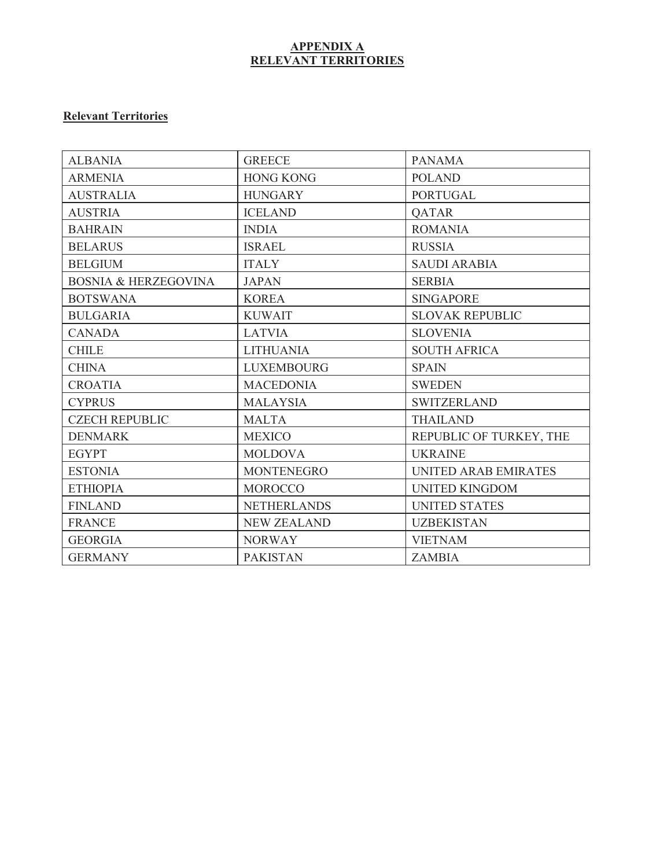#### **APPENDIX A RELEVANT TERRITORIES**

# **Relevant Territories**

| <b>ALBANIA</b>                  | <b>GREECE</b>      | <b>PANAMA</b>               |
|---------------------------------|--------------------|-----------------------------|
| <b>ARMENIA</b>                  | <b>HONG KONG</b>   | <b>POLAND</b>               |
| <b>AUSTRALIA</b>                | <b>HUNGARY</b>     | <b>PORTUGAL</b>             |
| <b>AUSTRIA</b>                  | <b>ICELAND</b>     | <b>OATAR</b>                |
| <b>BAHRAIN</b>                  | <b>INDIA</b>       | <b>ROMANIA</b>              |
| <b>BELARUS</b>                  | <b>ISRAEL</b>      | <b>RUSSIA</b>               |
| <b>BELGIUM</b>                  | <b>ITALY</b>       | <b>SAUDI ARABIA</b>         |
| <b>BOSNIA &amp; HERZEGOVINA</b> | <b>JAPAN</b>       | <b>SERBIA</b>               |
| <b>BOTSWANA</b>                 | <b>KOREA</b>       | <b>SINGAPORE</b>            |
| <b>BULGARIA</b>                 | <b>KUWAIT</b>      | <b>SLOVAK REPUBLIC</b>      |
| <b>CANADA</b>                   | <b>LATVIA</b>      | <b>SLOVENIA</b>             |
| <b>CHILE</b>                    | <b>LITHUANIA</b>   | <b>SOUTH AFRICA</b>         |
| <b>CHINA</b>                    | <b>LUXEMBOURG</b>  | <b>SPAIN</b>                |
| <b>CROATIA</b>                  | <b>MACEDONIA</b>   | <b>SWEDEN</b>               |
| <b>CYPRUS</b>                   | <b>MALAYSIA</b>    | <b>SWITZERLAND</b>          |
| <b>CZECH REPUBLIC</b>           | <b>MALTA</b>       | <b>THAILAND</b>             |
| <b>DENMARK</b>                  | <b>MEXICO</b>      | REPUBLIC OF TURKEY, THE     |
| <b>EGYPT</b>                    | <b>MOLDOVA</b>     | <b>UKRAINE</b>              |
| <b>ESTONIA</b>                  | <b>MONTENEGRO</b>  | <b>UNITED ARAB EMIRATES</b> |
| <b>ETHIOPIA</b>                 | <b>MOROCCO</b>     | <b>UNITED KINGDOM</b>       |
| <b>FINLAND</b>                  | <b>NETHERLANDS</b> | <b>UNITED STATES</b>        |
| <b>FRANCE</b>                   | <b>NEW ZEALAND</b> | <b>UZBEKISTAN</b>           |
| <b>GEORGIA</b>                  | <b>NORWAY</b>      | <b>VIETNAM</b>              |
| <b>GERMANY</b>                  | <b>PAKISTAN</b>    | <b>ZAMBIA</b>               |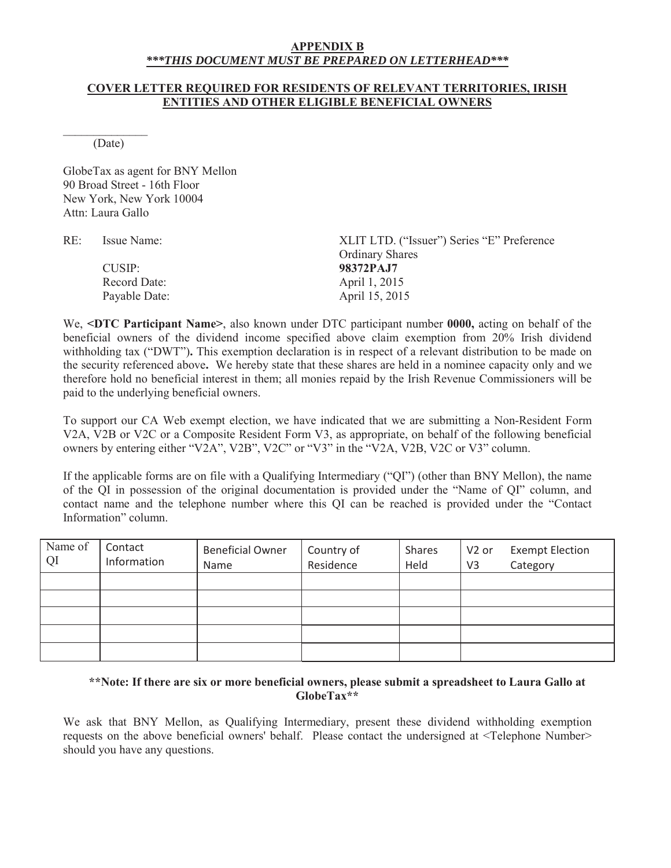#### **APPENDIX B** *\*\*\*THIS DOCUMENT MUST BE PREPARED ON LETTERHEAD\*\*\**

#### **COVER LETTER REQUIRED FOR RESIDENTS OF RELEVANT TERRITORIES, IRISH ENTITIES AND OTHER ELIGIBLE BENEFICIAL OWNERS**

 $\frac{1}{2}$ (Date)

GlobeTax as agent for BNY Mellon 90 Broad Street - 16th Floor New York, New York 10004 Attn: Laura Gallo

RE: Issue Name: XLIT LTD. ("Issuer") Series "E" Preference Ordinary Shares CUSIP: **98372PAJ7** Record Date: April 1, 2015 Payable Date: April 15, 2015

We, **<DTC Participant Name>**, also known under DTC participant number **0000,** acting on behalf of the beneficial owners of the dividend income specified above claim exemption from 20% Irish dividend withholding tax ("DWT")**.** This exemption declaration is in respect of a relevant distribution to be made on the security referenced above**.** We hereby state that these shares are held in a nominee capacity only and we therefore hold no beneficial interest in them; all monies repaid by the Irish Revenue Commissioners will be paid to the underlying beneficial owners.

To support our CA Web exempt election, we have indicated that we are submitting a Non-Resident Form V2A, V2B or V2C or a Composite Resident Form V3, as appropriate, on behalf of the following beneficial owners by entering either "V2A", V2B", V2C" or "V3" in the "V2A, V2B, V2C or V3" column.

If the applicable forms are on file with a Qualifying Intermediary ("QI") (other than BNY Mellon), the name of the QI in possession of the original documentation is provided under the "Name of QI" column, and contact name and the telephone number where this QI can be reached is provided under the "Contact Information" column.

| Name of<br>QI | Contact<br>Information | <b>Beneficial Owner</b><br>Name | Country of<br>Residence | Shares<br>Held | V2 or<br>V <sub>3</sub> | <b>Exempt Election</b><br>Category |
|---------------|------------------------|---------------------------------|-------------------------|----------------|-------------------------|------------------------------------|
|               |                        |                                 |                         |                |                         |                                    |
|               |                        |                                 |                         |                |                         |                                    |
|               |                        |                                 |                         |                |                         |                                    |
|               |                        |                                 |                         |                |                         |                                    |
|               |                        |                                 |                         |                |                         |                                    |

#### **\*\*Note: If there are six or more beneficial owners, please submit a spreadsheet to Laura Gallo at GlobeTax\*\***

We ask that BNY Mellon, as Qualifying Intermediary, present these dividend withholding exemption requests on the above beneficial owners' behalf. Please contact the undersigned at <Telephone Number> should you have any questions.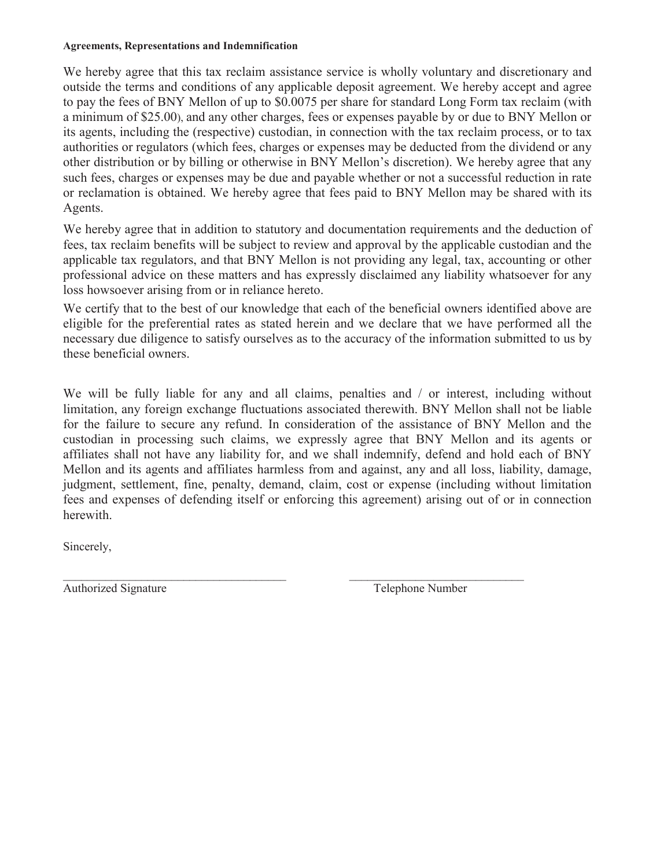#### **Agreements, Representations and Indemnification**

We hereby agree that this tax reclaim assistance service is wholly voluntary and discretionary and outside the terms and conditions of any applicable deposit agreement. We hereby accept and agree to pay the fees of BNY Mellon of up to \$0.0075 per share for standard Long Form tax reclaim (with a minimum of \$25.00), and any other charges, fees or expenses payable by or due to BNY Mellon or its agents, including the (respective) custodian, in connection with the tax reclaim process, or to tax authorities or regulators (which fees, charges or expenses may be deducted from the dividend or any other distribution or by billing or otherwise in BNY Mellon's discretion). We hereby agree that any such fees, charges or expenses may be due and payable whether or not a successful reduction in rate or reclamation is obtained. We hereby agree that fees paid to BNY Mellon may be shared with its Agents.

We hereby agree that in addition to statutory and documentation requirements and the deduction of fees, tax reclaim benefits will be subject to review and approval by the applicable custodian and the applicable tax regulators, and that BNY Mellon is not providing any legal, tax, accounting or other professional advice on these matters and has expressly disclaimed any liability whatsoever for any loss howsoever arising from or in reliance hereto.

We certify that to the best of our knowledge that each of the beneficial owners identified above are eligible for the preferential rates as stated herein and we declare that we have performed all the necessary due diligence to satisfy ourselves as to the accuracy of the information submitted to us by these beneficial owners.

We will be fully liable for any and all claims, penalties and / or interest, including without limitation, any foreign exchange fluctuations associated therewith. BNY Mellon shall not be liable for the failure to secure any refund. In consideration of the assistance of BNY Mellon and the custodian in processing such claims, we expressly agree that BNY Mellon and its agents or affiliates shall not have any liability for, and we shall indemnify, defend and hold each of BNY Mellon and its agents and affiliates harmless from and against, any and all loss, liability, damage, judgment, settlement, fine, penalty, demand, claim, cost or expense (including without limitation fees and expenses of defending itself or enforcing this agreement) arising out of or in connection herewith.

\_\_\_\_\_\_\_\_\_\_\_\_\_\_\_\_\_\_\_\_\_\_\_\_\_\_\_\_\_\_\_\_\_\_\_\_\_ \_\_\_\_\_\_\_\_\_\_\_\_\_\_\_\_\_\_\_\_\_\_\_\_\_\_\_\_\_

Sincerely,

Authorized Signature Telephone Number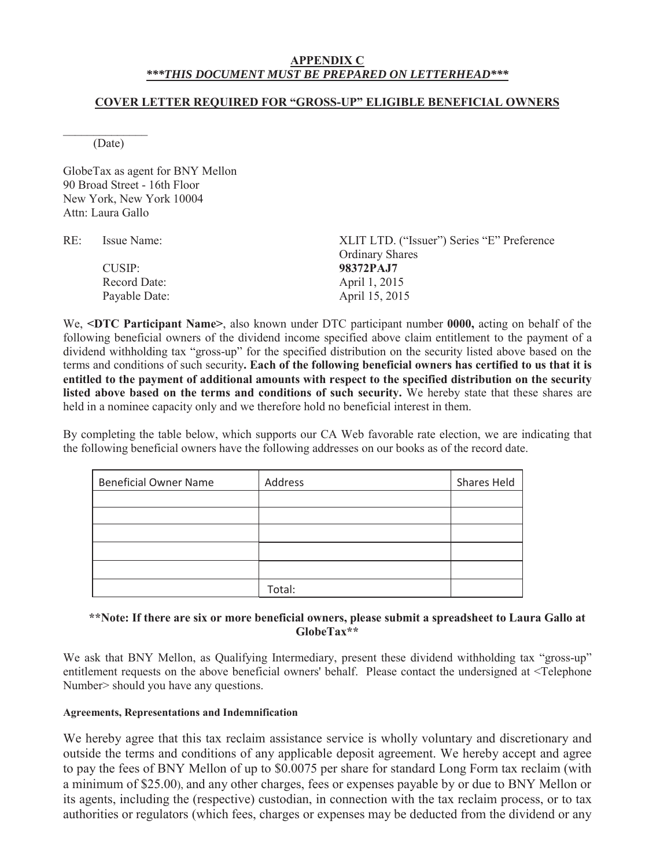#### **APPENDIX C** *\*\*\*THIS DOCUMENT MUST BE PREPARED ON LETTERHEAD\*\*\**

#### **COVER LETTER REQUIRED FOR "GROSS-UP" ELIGIBLE BENEFICIAL OWNERS**

 $\frac{1}{2}$ (Date)

GlobeTax as agent for BNY Mellon 90 Broad Street - 16th Floor New York, New York 10004 Attn: Laura Gallo

RE: Issue Name: XLIT LTD. ("Issuer") Series "E" Preference Ordinary Shares CUSIP: **98372PAJ7** Record Date: April 1, 2015 Payable Date: April 15, 2015

We, **<DTC Participant Name>**, also known under DTC participant number **0000,** acting on behalf of the following beneficial owners of the dividend income specified above claim entitlement to the payment of a dividend withholding tax "gross-up" for the specified distribution on the security listed above based on the terms and conditions of such security**. Each of the following beneficial owners has certified to us that it is entitled to the payment of additional amounts with respect to the specified distribution on the security listed above based on the terms and conditions of such security.** We hereby state that these shares are held in a nominee capacity only and we therefore hold no beneficial interest in them.

By completing the table below, which supports our CA Web favorable rate election, we are indicating that the following beneficial owners have the following addresses on our books as of the record date.

| <b>Beneficial Owner Name</b> | Address | Shares Held |
|------------------------------|---------|-------------|
|                              |         |             |
|                              |         |             |
|                              |         |             |
|                              |         |             |
|                              |         |             |
|                              | Total:  |             |

#### **\*\*Note: If there are six or more beneficial owners, please submit a spreadsheet to Laura Gallo at GlobeTax\*\***

We ask that BNY Mellon, as Qualifying Intermediary, present these dividend withholding tax "gross-up" entitlement requests on the above beneficial owners' behalf. Please contact the undersigned at <Telephone Number> should you have any questions.

#### **Agreements, Representations and Indemnification**

We hereby agree that this tax reclaim assistance service is wholly voluntary and discretionary and outside the terms and conditions of any applicable deposit agreement. We hereby accept and agree to pay the fees of BNY Mellon of up to \$0.0075 per share for standard Long Form tax reclaim (with a minimum of \$25.00), and any other charges, fees or expenses payable by or due to BNY Mellon or its agents, including the (respective) custodian, in connection with the tax reclaim process, or to tax authorities or regulators (which fees, charges or expenses may be deducted from the dividend or any